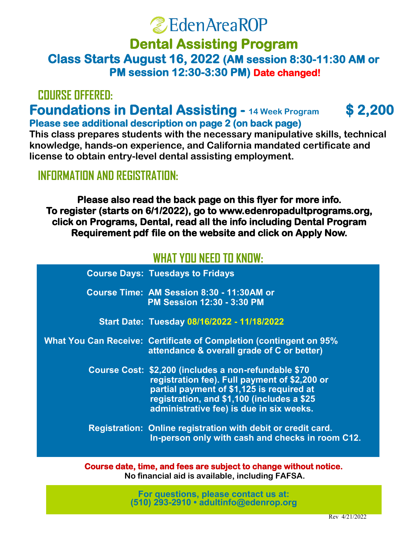# **ZEdenAreaROP**

# **Class Starts August 16, 2022 (AM session 8:30-11:30 AM or PM session 12:30-3:30 PM) Date changed! Dental Assisting Program**

# **COURSE OFFERED:**

## **Foundations in Dental Assisting - 14 Week Program**  $$2,200$ **Please see additional description on page 2 (on back page)**

**A tease see additional description on page 2 (on back page)**<br>This class prepares students with the necessary manipulative skills, technical **chack back begins the beginning of the beginning of the beginning of September 2013.**<br> **knowledge, hands-on experience, and California mandated certificate and license to obtain entry-level dental assisting employment. If you would like to be added to our mailing list. Please send** 

## **INFORMATION AND REGISTRATION:**  $\blacksquare$

**Dental Assistant (DA) \$800 Please also read the back page on this flyer for more info. click on Programs, Dental, read all the info including Dental Program Pequisyment adf file on the website and oliek on Apply New** Requirement pdf file on the website and click on Apply Now. **To register (starts on 6/1/2022), go to www.edenropadultprograms.org,** 

# WHAT YOU NEED TO KNOW **WHAT YOU NEED TO KNOW:**

| <b>Course Days: Tuesdays to Fridays</b>                                                                                                                                                                                                      |
|----------------------------------------------------------------------------------------------------------------------------------------------------------------------------------------------------------------------------------------------|
| Course Time: AM Session 8:30 - 11:30AM or<br><b>PM Session 12:30 - 3:30 PM</b>                                                                                                                                                               |
| Start Date: Tuesday 08/16/2022 - 11/18/2022                                                                                                                                                                                                  |
| What You Can Receive: Certificate of Completion (contingent on 95%)<br>attendance & overall grade of C or better)                                                                                                                            |
| Course Cost: \$2,200 (includes a non-refundable \$70<br>registration fee). Full payment of \$2,200 or<br>partial payment of \$1,125 is required at<br>registration, and \$1,100 (includes a \$25<br>administrative fee) is due in six weeks. |
| Registration: Online registration with debit or credit card.<br>In-person only with cash and checks in room C12.                                                                                                                             |

**Course date, time, and fees are subject to change without notice. 510.293.2910** •**510.293.8225 (fax)**•**[adultinfo@edenrop.org](mailto:dsp@edenrop.org) www.education.com No financial aid is available, including FAFSA.**

> **For questions, please contact us at: (510) 293-2910 • [adultinfo@edenrop.org](mailto:dsp@edenrop.org)**